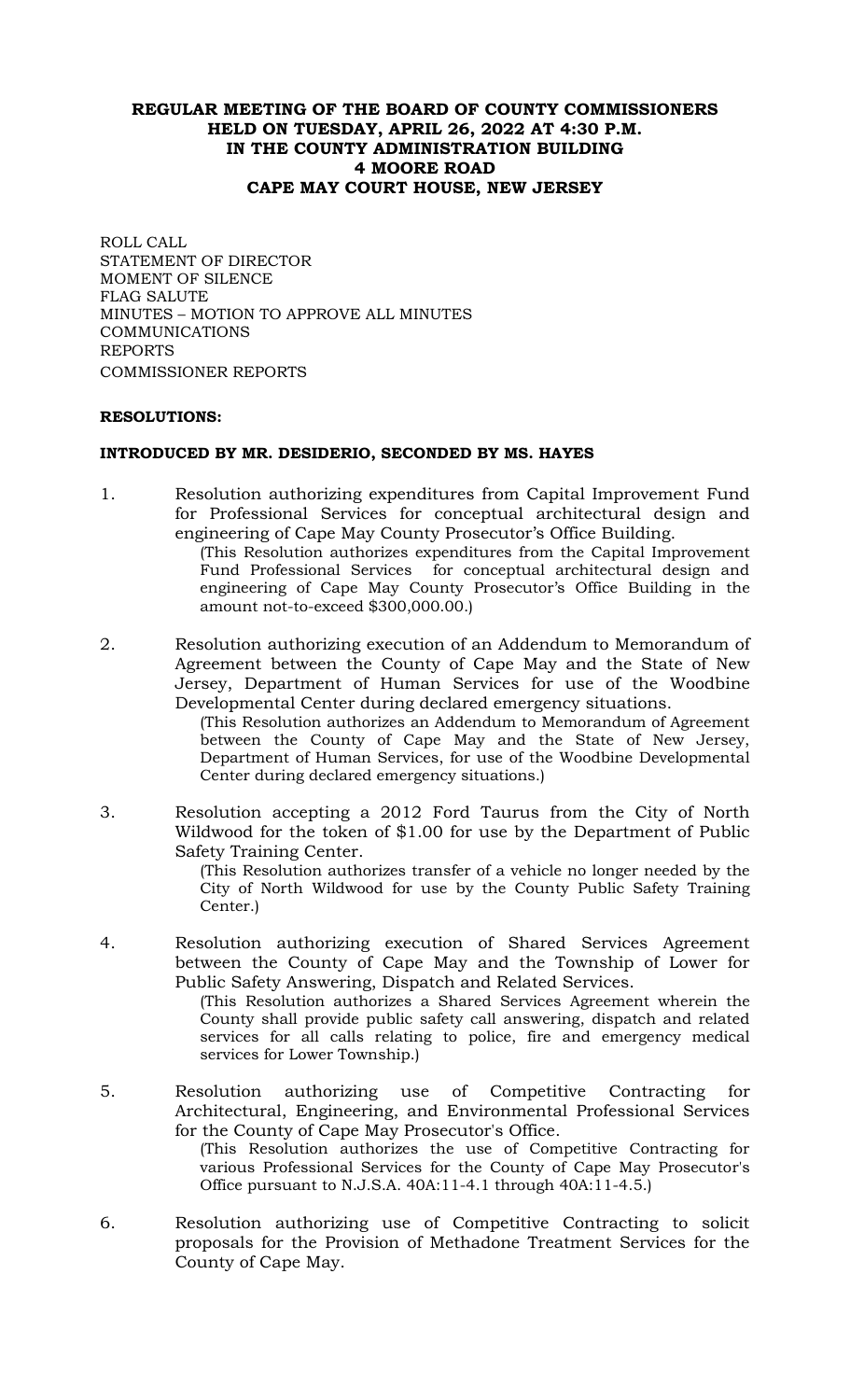# **REGULAR MEETING OF THE BOARD OF COUNTY COMMISSIONERS HELD ON TUESDAY, APRIL 26, 2022 AT 4:30 P.M. IN THE COUNTY ADMINISTRATION BUILDING 4 MOORE ROAD CAPE MAY COURT HOUSE, NEW JERSEY**

ROLL CALL STATEMENT OF DIRECTOR MOMENT OF SILENCE FLAG SALUTE MINUTES – MOTION TO APPROVE ALL MINUTES **COMMUNICATIONS** REPORTS COMMISSIONER REPORTS

## **RESOLUTIONS:**

## **INTRODUCED BY MR. DESIDERIO, SECONDED BY MS. HAYES**

1. Resolution authorizing expenditures from Capital Improvement Fund for Professional Services for conceptual architectural design and engineering of Cape May County Prosecutor's Office Building.

(This Resolution authorizes expenditures from the Capital Improvement Fund Professional Services for conceptual architectural design and engineering of Cape May County Prosecutor's Office Building in the amount not-to-exceed \$300,000.00.)

2. Resolution authorizing execution of an Addendum to Memorandum of Agreement between the County of Cape May and the State of New Jersey, Department of Human Services for use of the Woodbine Developmental Center during declared emergency situations.

(This Resolution authorizes an Addendum to Memorandum of Agreement between the County of Cape May and the State of New Jersey, Department of Human Services, for use of the Woodbine Developmental Center during declared emergency situations.)

3. Resolution accepting a 2012 Ford Taurus from the City of North Wildwood for the token of \$1.00 for use by the Department of Public Safety Training Center.

(This Resolution authorizes transfer of a vehicle no longer needed by the City of North Wildwood for use by the County Public Safety Training Center.)

- 4. Resolution authorizing execution of Shared Services Agreement between the County of Cape May and the Township of Lower for Public Safety Answering, Dispatch and Related Services. (This Resolution authorizes a Shared Services Agreement wherein the County shall provide public safety call answering, dispatch and related services for all calls relating to police, fire and emergency medical services for Lower Township.)
- 5. Resolution authorizing use of Competitive Contracting for Architectural, Engineering, and Environmental Professional Services for the County of Cape May Prosecutor's Office. (This Resolution authorizes the use of Competitive Contracting for various Professional Services for the County of Cape May Prosecutor's Office pursuant to N.J.S.A. 40A:11-4.1 through 40A:11-4.5.)
- 6. Resolution authorizing use of Competitive Contracting to solicit proposals for the Provision of Methadone Treatment Services for the County of Cape May.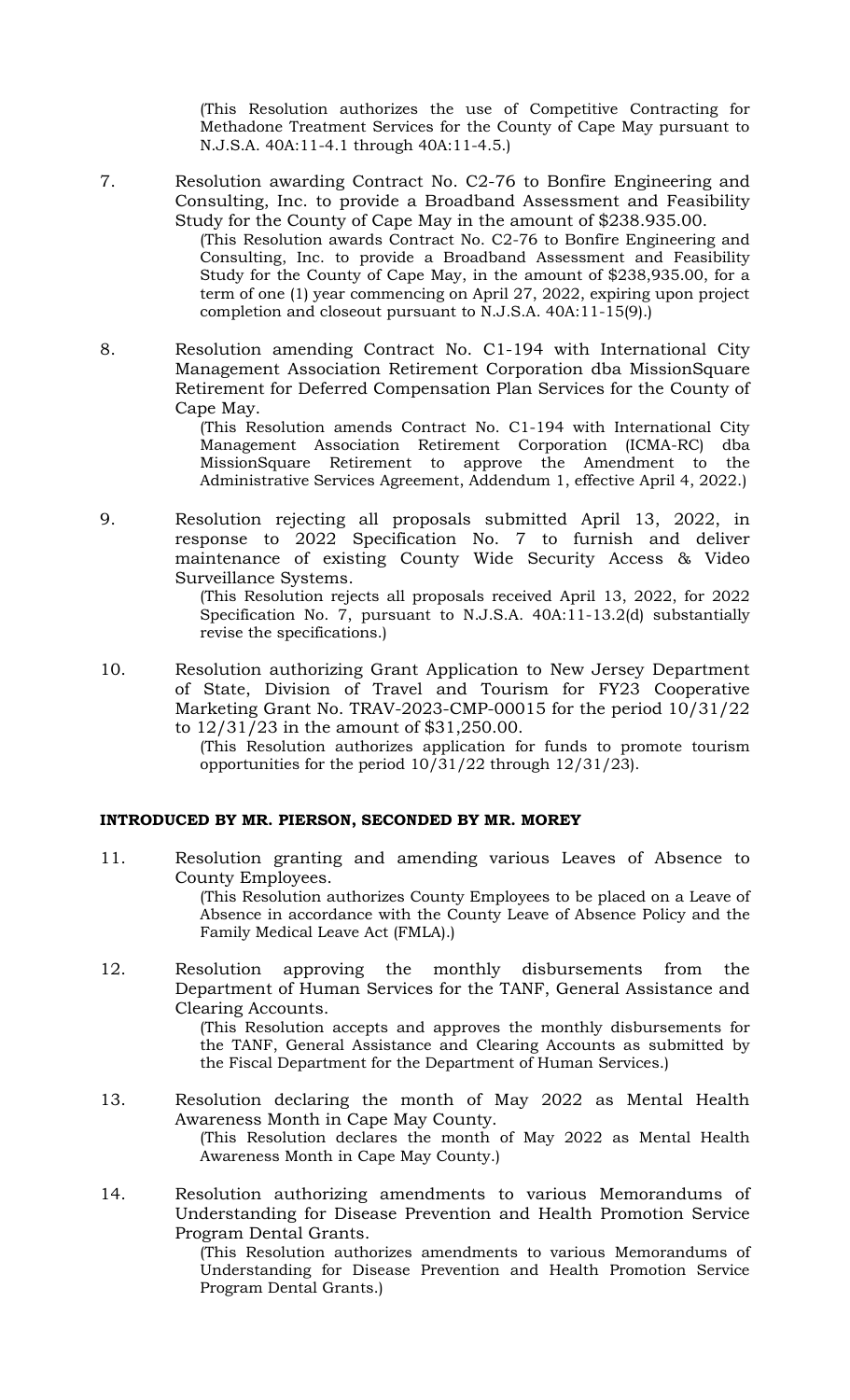(This Resolution authorizes the use of Competitive Contracting for Methadone Treatment Services for the County of Cape May pursuant to N.J.S.A. 40A:11-4.1 through 40A:11-4.5.)

7. Resolution awarding Contract No. C2-76 to Bonfire Engineering and Consulting, Inc. to provide a Broadband Assessment and Feasibility Study for the County of Cape May in the amount of \$238.935.00.

(This Resolution awards Contract No. C2-76 to Bonfire Engineering and Consulting, Inc. to provide a Broadband Assessment and Feasibility Study for the County of Cape May, in the amount of \$238,935.00, for a term of one (1) year commencing on April 27, 2022, expiring upon project completion and closeout pursuant to N.J.S.A. 40A:11-15(9).)

8. Resolution amending Contract No. C1-194 with International City Management Association Retirement Corporation dba MissionSquare Retirement for Deferred Compensation Plan Services for the County of Cape May.

(This Resolution amends Contract No. C1-194 with International City Management Association Retirement Corporation (ICMA-RC) dba MissionSquare Retirement to approve the Amendment to the Administrative Services Agreement, Addendum 1, effective April 4, 2022.)

9. Resolution rejecting all proposals submitted April 13, 2022, in response to 2022 Specification No. 7 to furnish and deliver maintenance of existing County Wide Security Access & Video Surveillance Systems.

> (This Resolution rejects all proposals received April 13, 2022, for 2022 Specification No. 7, pursuant to N.J.S.A. 40A:11-13.2(d) substantially revise the specifications.)

- 10. Resolution authorizing Grant Application to New Jersey Department of State, Division of Travel and Tourism for FY23 Cooperative Marketing Grant No. TRAV-2023-CMP-00015 for the period 10/31/22 to 12/31/23 in the amount of \$31,250.00.
	- (This Resolution authorizes application for funds to promote tourism opportunities for the period  $10/31/22$  through  $12/31/23$ ).

## **INTRODUCED BY MR. PIERSON, SECONDED BY MR. MOREY**

11. Resolution granting and amending various Leaves of Absence to County Employees.

(This Resolution authorizes County Employees to be placed on a Leave of Absence in accordance with the County Leave of Absence Policy and the Family Medical Leave Act (FMLA).)

12. Resolution approving the monthly disbursements from the Department of Human Services for the TANF, General Assistance and Clearing Accounts.

(This Resolution accepts and approves the monthly disbursements for the TANF, General Assistance and Clearing Accounts as submitted by the Fiscal Department for the Department of Human Services.)

- 13. Resolution declaring the month of May 2022 as Mental Health Awareness Month in Cape May County. (This Resolution declares the month of May 2022 as Mental Health Awareness Month in Cape May County.)
- 14. Resolution authorizing amendments to various Memorandums of Understanding for Disease Prevention and Health Promotion Service Program Dental Grants.

(This Resolution authorizes amendments to various Memorandums of Understanding for Disease Prevention and Health Promotion Service Program Dental Grants.)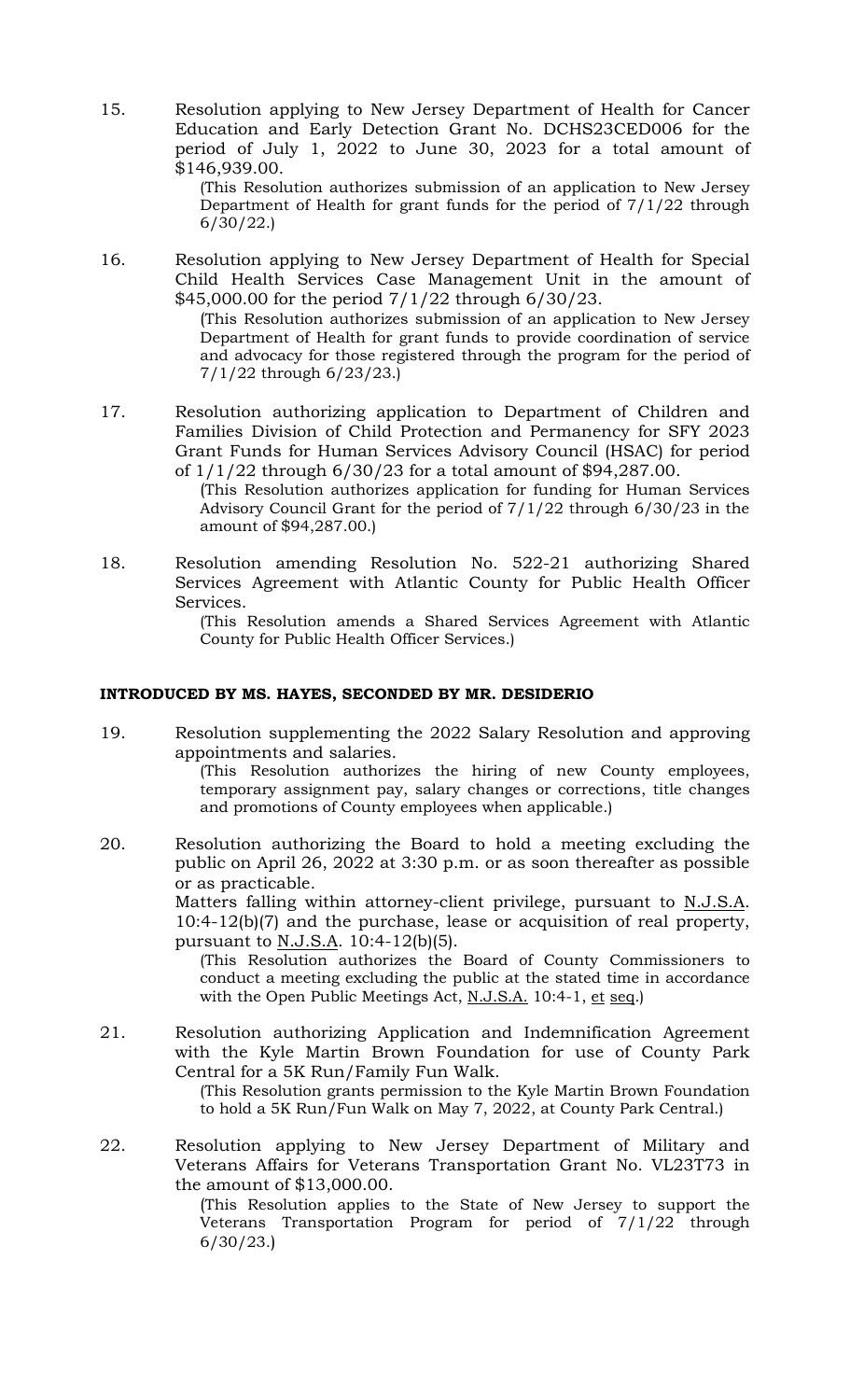15. Resolution applying to New Jersey Department of Health for Cancer Education and Early Detection Grant No. DCHS23CED006 for the period of July 1, 2022 to June 30, 2023 for a total amount of \$146,939.00.

> (This Resolution authorizes submission of an application to New Jersey Department of Health for grant funds for the period of 7/1/22 through 6/30/22.)

16. Resolution applying to New Jersey Department of Health for Special Child Health Services Case Management Unit in the amount of \$45,000.00 for the period 7/1/22 through 6/30/23.

(This Resolution authorizes submission of an application to New Jersey Department of Health for grant funds to provide coordination of service and advocacy for those registered through the program for the period of 7/1/22 through 6/23/23.)

17. Resolution authorizing application to Department of Children and Families Division of Child Protection and Permanency for SFY 2023 Grant Funds for Human Services Advisory Council (HSAC) for period of 1/1/22 through 6/30/23 for a total amount of \$94,287.00.

(This Resolution authorizes application for funding for Human Services Advisory Council Grant for the period of 7/1/22 through 6/30/23 in the amount of \$94,287.00.)

18. Resolution amending Resolution No. 522-21 authorizing Shared Services Agreement with Atlantic County for Public Health Officer Services.

(This Resolution amends a Shared Services Agreement with Atlantic County for Public Health Officer Services.)

# **INTRODUCED BY MS. HAYES, SECONDED BY MR. DESIDERIO**

19. Resolution supplementing the 2022 Salary Resolution and approving appointments and salaries. (This Resolution authorizes the hiring of new County employees,

temporary assignment pay, salary changes or corrections, title changes and promotions of County employees when applicable.)

20. Resolution authorizing the Board to hold a meeting excluding the public on April 26, 2022 at 3:30 p.m. or as soon thereafter as possible or as practicable.

> Matters falling within attorney-client privilege, pursuant to N.J.S.A. 10:4-12(b)(7) and the purchase, lease or acquisition of real property, pursuant to N.J.S.A. 10:4-12(b)(5).

(This Resolution authorizes the Board of County Commissioners to conduct a meeting excluding the public at the stated time in accordance with the Open Public Meetings Act, N.J.S.A. 10:4-1, et seq.)

21. Resolution authorizing Application and Indemnification Agreement with the Kyle Martin Brown Foundation for use of County Park Central for a 5K Run/Family Fun Walk.

(This Resolution grants permission to the Kyle Martin Brown Foundation to hold a 5K Run/Fun Walk on May 7, 2022, at County Park Central.)

22. Resolution applying to New Jersey Department of Military and Veterans Affairs for Veterans Transportation Grant No. VL23T73 in the amount of \$13,000.00.

(This Resolution applies to the State of New Jersey to support the Veterans Transportation Program for period of 7/1/22 through 6/30/23.)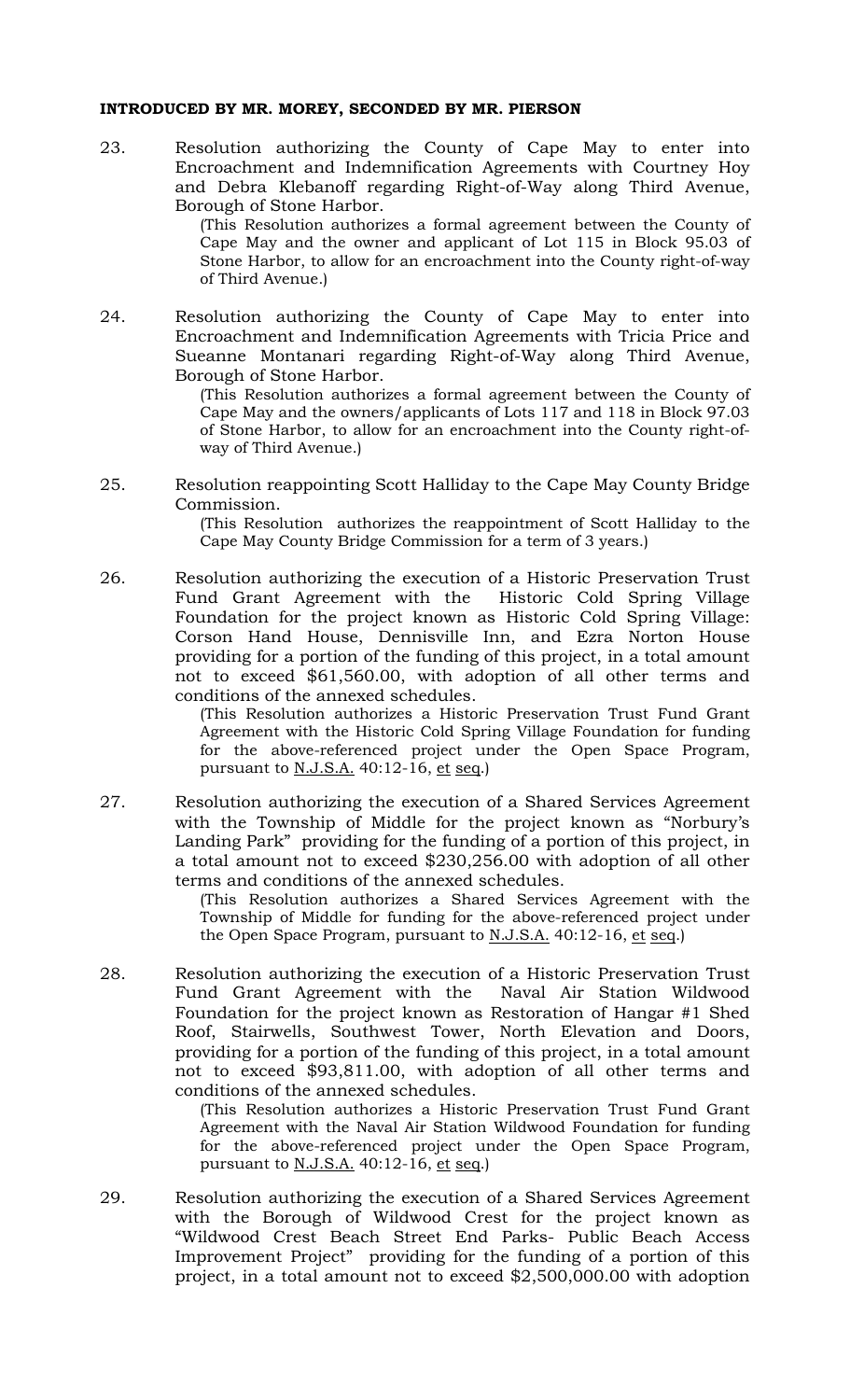#### **INTRODUCED BY MR. MOREY, SECONDED BY MR. PIERSON**

23. Resolution authorizing the County of Cape May to enter into Encroachment and Indemnification Agreements with Courtney Hoy and Debra Klebanoff regarding Right-of-Way along Third Avenue, Borough of Stone Harbor.

(This Resolution authorizes a formal agreement between the County of Cape May and the owner and applicant of Lot 115 in Block 95.03 of Stone Harbor, to allow for an encroachment into the County right-of-way of Third Avenue.)

24. Resolution authorizing the County of Cape May to enter into Encroachment and Indemnification Agreements with Tricia Price and Sueanne Montanari regarding Right-of-Way along Third Avenue, Borough of Stone Harbor.

> (This Resolution authorizes a formal agreement between the County of Cape May and the owners/applicants of Lots 117 and 118 in Block 97.03 of Stone Harbor, to allow for an encroachment into the County right-ofway of Third Avenue.)

25. Resolution reappointing Scott Halliday to the Cape May County Bridge Commission.

> (This Resolution authorizes the reappointment of Scott Halliday to the Cape May County Bridge Commission for a term of 3 years.)

26. Resolution authorizing the execution of a Historic Preservation Trust Fund Grant Agreement with the Historic Cold Spring Village Foundation for the project known as Historic Cold Spring Village: Corson Hand House, Dennisville Inn, and Ezra Norton House providing for a portion of the funding of this project, in a total amount not to exceed \$61,560.00, with adoption of all other terms and conditions of the annexed schedules.

> (This Resolution authorizes a Historic Preservation Trust Fund Grant Agreement with the Historic Cold Spring Village Foundation for funding for the above-referenced project under the Open Space Program, pursuant to N.J.S.A. 40:12-16, et seq.)

27. Resolution authorizing the execution of a Shared Services Agreement with the Township of Middle for the project known as "Norbury's Landing Park" providing for the funding of a portion of this project, in a total amount not to exceed \$230,256.00 with adoption of all other terms and conditions of the annexed schedules.

> (This Resolution authorizes a Shared Services Agreement with the Township of Middle for funding for the above-referenced project under the Open Space Program, pursuant to N.J.S.A. 40:12-16, et seq.)

28. Resolution authorizing the execution of a Historic Preservation Trust Fund Grant Agreement with the Naval Air Station Wildwood Foundation for the project known as Restoration of Hangar #1 Shed Roof, Stairwells, Southwest Tower, North Elevation and Doors, providing for a portion of the funding of this project, in a total amount not to exceed \$93,811.00, with adoption of all other terms and conditions of the annexed schedules.

> (This Resolution authorizes a Historic Preservation Trust Fund Grant Agreement with the Naval Air Station Wildwood Foundation for funding for the above-referenced project under the Open Space Program, pursuant to <u>N.J.S.A.</u> 40:12-16, et seq.)

29. Resolution authorizing the execution of a Shared Services Agreement with the Borough of Wildwood Crest for the project known as "Wildwood Crest Beach Street End Parks- Public Beach Access Improvement Project" providing for the funding of a portion of this project, in a total amount not to exceed \$2,500,000.00 with adoption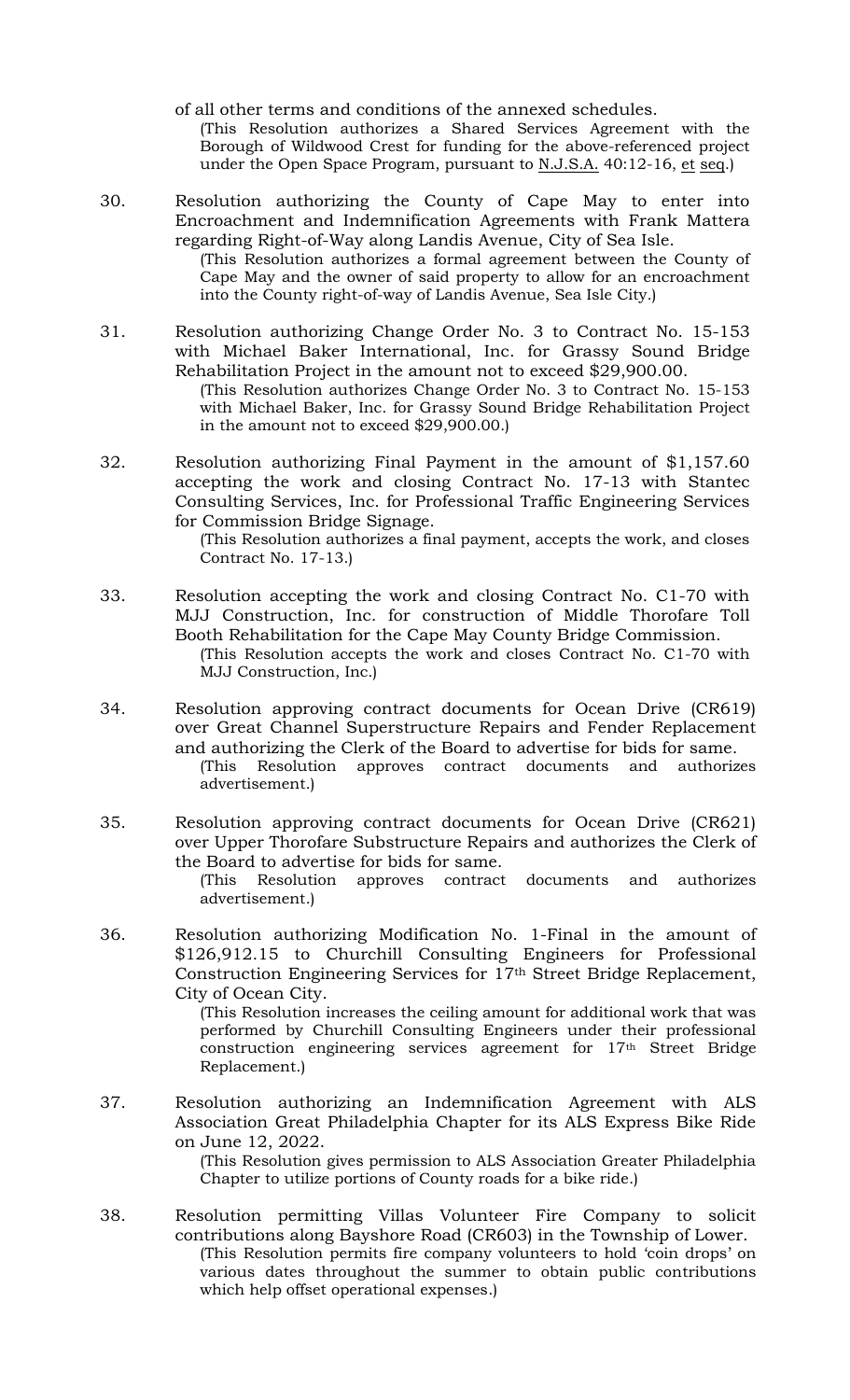of all other terms and conditions of the annexed schedules. (This Resolution authorizes a Shared Services Agreement with the Borough of Wildwood Crest for funding for the above-referenced project under the Open Space Program, pursuant to N.J.S.A. 40:12-16, et seq.)

30. Resolution authorizing the County of Cape May to enter into Encroachment and Indemnification Agreements with Frank Mattera regarding Right-of-Way along Landis Avenue, City of Sea Isle.

(This Resolution authorizes a formal agreement between the County of Cape May and the owner of said property to allow for an encroachment into the County right-of-way of Landis Avenue, Sea Isle City.)

- 31. Resolution authorizing Change Order No. 3 to Contract No. 15-153 with Michael Baker International, Inc. for Grassy Sound Bridge Rehabilitation Project in the amount not to exceed \$29,900.00. (This Resolution authorizes Change Order No. 3 to Contract No. 15-153 with Michael Baker, Inc. for Grassy Sound Bridge Rehabilitation Project in the amount not to exceed \$29,900.00.)
- 32. Resolution authorizing Final Payment in the amount of \$1,157.60 accepting the work and closing Contract No. 17-13 with Stantec Consulting Services, Inc. for Professional Traffic Engineering Services for Commission Bridge Signage.

(This Resolution authorizes a final payment, accepts the work, and closes Contract No. 17-13.)

- 33. Resolution accepting the work and closing Contract No. C1-70 with MJJ Construction, Inc. for construction of Middle Thorofare Toll Booth Rehabilitation for the Cape May County Bridge Commission. (This Resolution accepts the work and closes Contract No. C1-70 with MJJ Construction, Inc.)
- 34. Resolution approving contract documents for Ocean Drive (CR619) over Great Channel Superstructure Repairs and Fender Replacement and authorizing the Clerk of the Board to advertise for bids for same. (This Resolution approves contract documents and authorizes advertisement.)
- 35. Resolution approving contract documents for Ocean Drive (CR621) over Upper Thorofare Substructure Repairs and authorizes the Clerk of the Board to advertise for bids for same. (This Resolution approves contract documents and authorizes advertisement.)
- 36. Resolution authorizing Modification No. 1-Final in the amount of \$126,912.15 to Churchill Consulting Engineers for Professional Construction Engineering Services for 17th Street Bridge Replacement, City of Ocean City.

(This Resolution increases the ceiling amount for additional work that was performed by Churchill Consulting Engineers under their professional construction engineering services agreement for 17th Street Bridge Replacement.)

37. Resolution authorizing an Indemnification Agreement with ALS Association Great Philadelphia Chapter for its ALS Express Bike Ride on June 12, 2022.

(This Resolution gives permission to ALS Association Greater Philadelphia Chapter to utilize portions of County roads for a bike ride.)

38. Resolution permitting Villas Volunteer Fire Company to solicit contributions along Bayshore Road (CR603) in the Township of Lower. (This Resolution permits fire company volunteers to hold 'coin drops' on various dates throughout the summer to obtain public contributions which help offset operational expenses.)